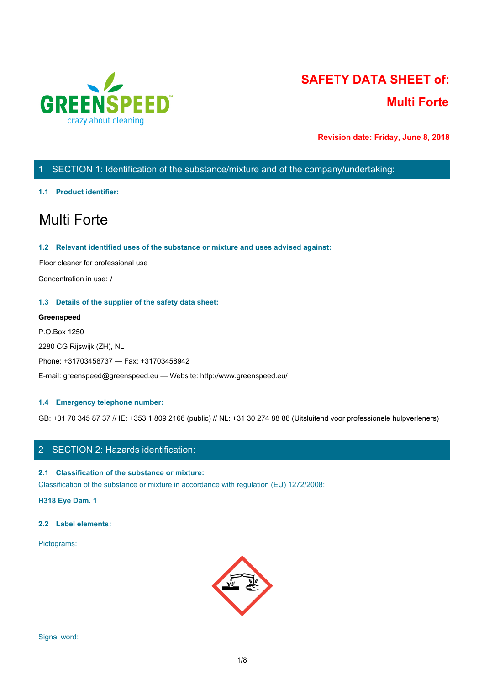

# **SAFETY DATA SHEET of: Multi Forte**

**Revision date: Friday, June 8, 2018**

# 1 SECTION 1: Identification of the substance/mixture and of the company/undertaking:

#### **1.1 Product identifier:**

# Multi Forte

#### **1.2 Relevant identified uses of the substance or mixture and uses advised against:**

Floor cleaner for professional use

Concentration in use: /

#### **1.3 Details of the supplier of the safety data sheet:**

#### **Greenspeed**

P.O.Box 1250 2280 CG Rijswijk (ZH), NL Phone: +31703458737 — Fax: +31703458942 E-mail: greenspeed@greenspeed.eu — Website: http://www.greenspeed.eu/

#### **1.4 Emergency telephone number:**

GB: +31 70 345 87 37 // IE: +353 1 809 2166 (public) // NL: +31 30 274 88 88 (Uitsluitend voor professionele hulpverleners)

# 2 SECTION 2: Hazards identification:

#### **2.1 Classification of the substance or mixture:**

Classification of the substance or mixture in accordance with regulation (EU) 1272/2008:

**H318 Eye Dam. 1**

#### **2.2 Label elements:**

Pictograms:

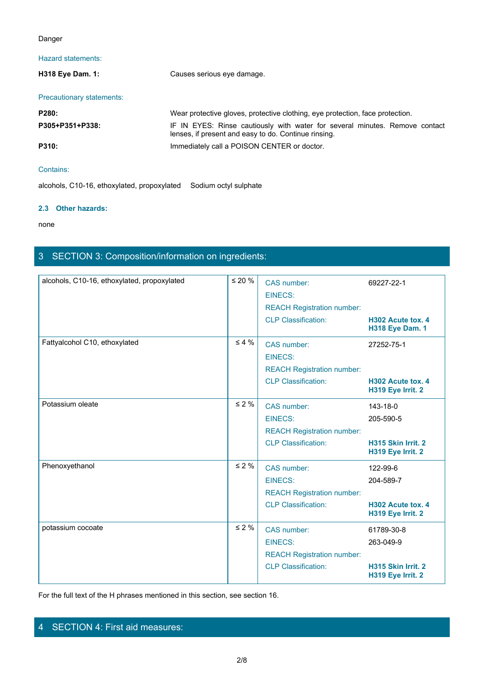### Danger

# Hazard statements:

| Danger                    |                                                                                                                                     |
|---------------------------|-------------------------------------------------------------------------------------------------------------------------------------|
| Hazard statements:        |                                                                                                                                     |
| H318 Eye Dam. 1:          | Causes serious eye damage.                                                                                                          |
| Precautionary statements: |                                                                                                                                     |
| P280:                     | Wear protective gloves, protective clothing, eye protection, face protection.                                                       |
| P305+P351+P338:           | IF IN EYES: Rinse cautiously with water for several minutes. Remove contact<br>lenses, if present and easy to do. Continue rinsing. |
| P310:                     | Immediately call a POISON CENTER or doctor.                                                                                         |
| Contains:                 |                                                                                                                                     |
|                           | alcohols C10-16 ethoxylated propoxylated. Sodium octyl sulphate                                                                     |

# Contains:

alcohols, C10-16, ethoxylated, propoxylated Sodium octyl sulphate

#### **2.3 Other hazards:**

none and the state of the state of the state of the state of the state of the state of the state of the state of the state of the state of the state of the state of the state of the state of the state of the state of the s

# 3 SECTION 3: Composition/information on ingredients:

| CAS number:<br>69227-22-1<br><b>EINECS:</b><br><b>REACH Registration number:</b><br><b>CLP Classification:</b><br>H302 Acute tox. 4<br><b>H318 Eye Dam. 1</b><br>$\leq 4 \%$<br>Fattyalcohol C10, ethoxylated<br>CAS number:<br>27252-75-1<br><b>EINECS:</b><br><b>REACH Registration number:</b><br><b>CLP Classification:</b><br>H302 Acute tox. 4<br>H319 Eye Irrit. 2<br>$\leq 2\%$<br>Potassium oleate<br>CAS number:<br>143-18-0<br><b>EINECS:</b><br>205-590-5<br><b>REACH Registration number:</b><br><b>CLP Classification:</b><br>H315 Skin Irrit. 2<br>H319 Eye Irrit. 2<br>Phenoxyethanol<br>$\leq 2 \%$<br>CAS number:<br>122-99-6<br><b>EINECS:</b><br>204-589-7<br><b>REACH Registration number:</b><br><b>CLP Classification:</b><br>H302 Acute tox. 4<br>H319 Eye Irrit. 2<br>$\leq 2 \%$<br>potassium cocoate<br>CAS number:<br>61789-30-8 |                                             |              |                |           |  |
|--------------------------------------------------------------------------------------------------------------------------------------------------------------------------------------------------------------------------------------------------------------------------------------------------------------------------------------------------------------------------------------------------------------------------------------------------------------------------------------------------------------------------------------------------------------------------------------------------------------------------------------------------------------------------------------------------------------------------------------------------------------------------------------------------------------------------------------------------------------|---------------------------------------------|--------------|----------------|-----------|--|
|                                                                                                                                                                                                                                                                                                                                                                                                                                                                                                                                                                                                                                                                                                                                                                                                                                                              | alcohols, C10-16, ethoxylated, propoxylated | $\leq 20 \%$ |                |           |  |
|                                                                                                                                                                                                                                                                                                                                                                                                                                                                                                                                                                                                                                                                                                                                                                                                                                                              |                                             |              |                |           |  |
|                                                                                                                                                                                                                                                                                                                                                                                                                                                                                                                                                                                                                                                                                                                                                                                                                                                              |                                             |              |                |           |  |
|                                                                                                                                                                                                                                                                                                                                                                                                                                                                                                                                                                                                                                                                                                                                                                                                                                                              |                                             |              |                |           |  |
|                                                                                                                                                                                                                                                                                                                                                                                                                                                                                                                                                                                                                                                                                                                                                                                                                                                              |                                             |              |                |           |  |
|                                                                                                                                                                                                                                                                                                                                                                                                                                                                                                                                                                                                                                                                                                                                                                                                                                                              |                                             |              |                |           |  |
|                                                                                                                                                                                                                                                                                                                                                                                                                                                                                                                                                                                                                                                                                                                                                                                                                                                              |                                             |              |                |           |  |
|                                                                                                                                                                                                                                                                                                                                                                                                                                                                                                                                                                                                                                                                                                                                                                                                                                                              |                                             |              |                |           |  |
|                                                                                                                                                                                                                                                                                                                                                                                                                                                                                                                                                                                                                                                                                                                                                                                                                                                              |                                             |              |                |           |  |
|                                                                                                                                                                                                                                                                                                                                                                                                                                                                                                                                                                                                                                                                                                                                                                                                                                                              |                                             |              |                |           |  |
|                                                                                                                                                                                                                                                                                                                                                                                                                                                                                                                                                                                                                                                                                                                                                                                                                                                              |                                             |              |                |           |  |
|                                                                                                                                                                                                                                                                                                                                                                                                                                                                                                                                                                                                                                                                                                                                                                                                                                                              |                                             |              |                |           |  |
|                                                                                                                                                                                                                                                                                                                                                                                                                                                                                                                                                                                                                                                                                                                                                                                                                                                              |                                             |              |                |           |  |
|                                                                                                                                                                                                                                                                                                                                                                                                                                                                                                                                                                                                                                                                                                                                                                                                                                                              |                                             |              |                |           |  |
|                                                                                                                                                                                                                                                                                                                                                                                                                                                                                                                                                                                                                                                                                                                                                                                                                                                              |                                             |              |                |           |  |
|                                                                                                                                                                                                                                                                                                                                                                                                                                                                                                                                                                                                                                                                                                                                                                                                                                                              |                                             |              |                |           |  |
|                                                                                                                                                                                                                                                                                                                                                                                                                                                                                                                                                                                                                                                                                                                                                                                                                                                              |                                             |              |                |           |  |
|                                                                                                                                                                                                                                                                                                                                                                                                                                                                                                                                                                                                                                                                                                                                                                                                                                                              |                                             |              |                |           |  |
|                                                                                                                                                                                                                                                                                                                                                                                                                                                                                                                                                                                                                                                                                                                                                                                                                                                              |                                             |              | <b>EINECS:</b> | 263-049-9 |  |
| <b>REACH Registration number:</b>                                                                                                                                                                                                                                                                                                                                                                                                                                                                                                                                                                                                                                                                                                                                                                                                                            |                                             |              |                |           |  |
| <b>CLP Classification:</b><br>H315 Skin Irrit. 2<br>H319 Eye Irrit. 2                                                                                                                                                                                                                                                                                                                                                                                                                                                                                                                                                                                                                                                                                                                                                                                        |                                             |              |                |           |  |

For the full text of the H phrases mentioned in this section, see section 16.

# 4 SECTION 4: First aid measures: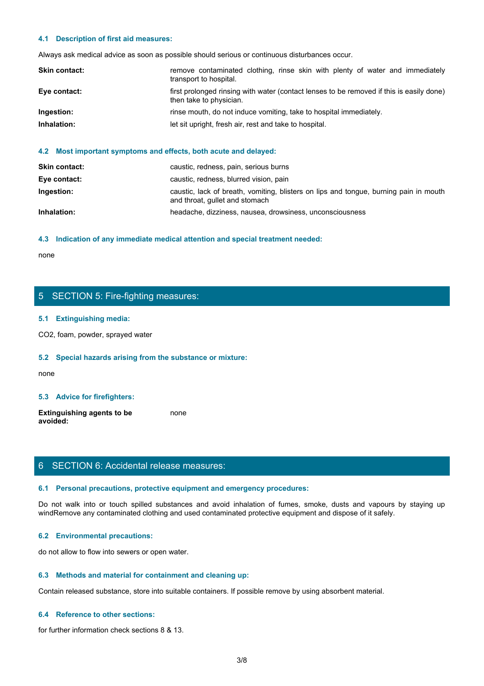#### **4.1 Description of first aid measures:**

| 4.1 Description of first aid measures: |                                                                                                                     |
|----------------------------------------|---------------------------------------------------------------------------------------------------------------------|
|                                        | Always ask medical advice as soon as possible should serious or continuous disturbances occur.                      |
| Skin contact:                          | remove contaminated clothing, rinse skin with plenty of water and immediately<br>transport to hospital.             |
| Eye contact:                           | first prolonged rinsing with water (contact lenses to be removed if this is easily done)<br>then take to physician. |
| Ingestion:                             | rinse mouth, do not induce vomiting, take to hospital immediately.                                                  |
| Inhalation:                            | let sit upright, fresh air, rest and take to hospital.                                                              |
|                                        |                                                                                                                     |

### **4.2 Most important symptoms and effects, both acute and delayed:**

| <b>Skin contact:</b> | caustic, redness, pain, serious burns                                                                                   |
|----------------------|-------------------------------------------------------------------------------------------------------------------------|
| Eye contact:         | caustic, redness, blurred vision, pain                                                                                  |
| Ingestion:           | caustic, lack of breath, vomiting, blisters on lips and tongue, burning pain in mouth<br>and throat, gullet and stomach |
| Inhalation:          | headache, dizziness, nausea, drowsiness, unconsciousness                                                                |

#### **4.3 Indication of any immediate medical attention and special treatment needed:**

none and the state of the state of the state of the state of the state of the state of the state of the state of the state of the state of the state of the state of the state of the state of the state of the state of the s

# 5 SECTION 5: Fire-fighting measures:

#### **5.1 Extinguishing media:**

CO2, foam, powder, sprayed water

#### **5.2 Special hazards arising from the substance or mixture:**

none and the state of the state of the state of the state of the state of the state of the state of the state of the state of the state of the state of the state of the state of the state of the state of the state of the s

#### **5.3 Advice for firefighters:**

**Extinguishing agents to be avoided:** none and the state of the state of the state of the state of the state of the state of the state of the state of the state of the state of the state of the state of the state of the state of the state of the state of the s

# 6 SECTION 6: Accidental release measures:

#### **6.1 Personal precautions, protective equipment and emergency procedures:**

none<br>
S. SECTION 5: Fire-fighting measures:<br>
S. S. Special hazards arising from the substance or mixture:<br>
H. S. Special hazards arising from the substance or mixture:<br>
and avoid in the fumes, spilled substances and avoid windRemove any contaminated clothing and used contaminated protective equipment and dispose of it safely.

#### **6.2 Environmental precautions:**

do not allow to flow into sewers or open water.

#### **6.3 Methods and material for containment and cleaning up:**

Contain released substance, store into suitable containers. If possible remove by using absorbent material.

#### **6.4 Reference to other sections:**

for further information check sections 8 & 13.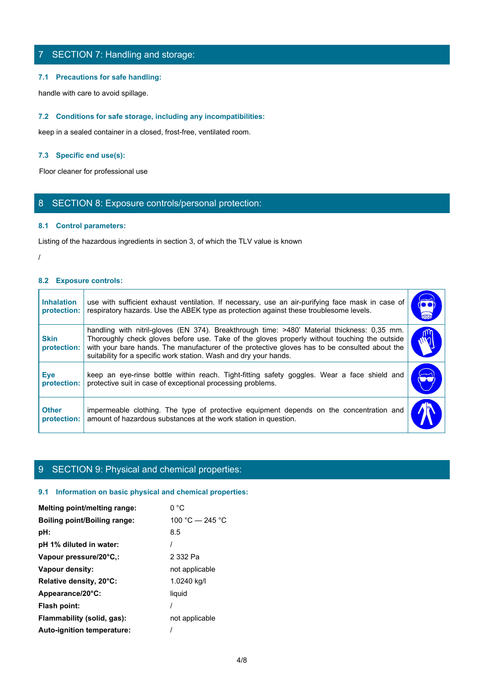# 7 SECTION 7: Handling and storage:

#### **7.1 Precautions for safe handling:**

#### **7.2 Conditions for safe storage, including any incompatibilities:**

### **7.3 Specific end use(s):**

## 8 SECTION 8: Exposure controls/personal protection:

#### **8.1 Control parameters:**

#### **8.2 Exposure controls:**

|                                  | 7 SECTION 7: Handling and storage:                                                                                                                                                                                                                                                                                                                                |                             |
|----------------------------------|-------------------------------------------------------------------------------------------------------------------------------------------------------------------------------------------------------------------------------------------------------------------------------------------------------------------------------------------------------------------|-----------------------------|
|                                  | 7.1 Precautions for safe handling:                                                                                                                                                                                                                                                                                                                                |                             |
|                                  | handle with care to avoid spillage.                                                                                                                                                                                                                                                                                                                               |                             |
|                                  | 7.2 Conditions for safe storage, including any incompatibilities:                                                                                                                                                                                                                                                                                                 |                             |
|                                  | keep in a sealed container in a closed, frost-free, ventilated room.                                                                                                                                                                                                                                                                                              |                             |
|                                  | 7.3 Specific end use(s):                                                                                                                                                                                                                                                                                                                                          |                             |
|                                  | Floor cleaner for professional use                                                                                                                                                                                                                                                                                                                                |                             |
|                                  | 8 SECTION 8: Exposure controls/personal protection:                                                                                                                                                                                                                                                                                                               |                             |
|                                  | 8.1 Control parameters:                                                                                                                                                                                                                                                                                                                                           |                             |
|                                  | Listing of the hazardous ingredients in section 3, of which the TLV value is known                                                                                                                                                                                                                                                                                |                             |
|                                  |                                                                                                                                                                                                                                                                                                                                                                   |                             |
| 8.2 Exposure controls:           |                                                                                                                                                                                                                                                                                                                                                                   |                             |
| <b>Inhalation</b><br>protection: | use with sufficient exhaust ventilation. If necessary, use an air-purifying face mask in case of<br>respiratory hazards. Use the ABEK type as protection against these troublesome levels.                                                                                                                                                                        | $\overline{\bullet\bullet}$ |
| <b>Skin</b><br>protection:       | handling with nitril-gloves (EN 374). Breakthrough time: >480' Material thickness: 0,35 mm.<br>Thoroughly check gloves before use. Take of the gloves properly without touching the outside<br>with your bare hands. The manufacturer of the protective gloves has to be consulted about the<br>suitability for a specific work station. Wash and dry your hands. | րո<br>$\omega_{\rm i}$      |
| <b>Eye</b><br>protection:        | keep an eye-rinse bottle within reach. Tight-fitting safety goggles. Wear a face shield and<br>protective suit in case of exceptional processing problems.                                                                                                                                                                                                        |                             |
| <b>Other</b><br>protection:      | impermeable clothing. The type of protective equipment depends on the concentration and<br>amount of hazardous substances at the work station in question.                                                                                                                                                                                                        |                             |

# 9 SECTION 9: Physical and chemical properties:

#### **9.1 Information on basic physical and chemical properties:**

| Melting point/melting range:        | 0 °C              |
|-------------------------------------|-------------------|
| <b>Boiling point/Boiling range:</b> | 100 °C $-$ 245 °C |
| pH:                                 | 8.5               |
| pH 1% diluted in water:             |                   |
| Vapour pressure/20°C,:              | 2 332 Pa          |
| Vapour density:                     | not applicable    |
| Relative density, 20°C:             | 1.0240 kg/l       |
| Appearance/20°C:                    | liquid            |
| Flash point:                        |                   |
| Flammability (solid, gas):          | not applicable    |
| <b>Auto-ignition temperature:</b>   |                   |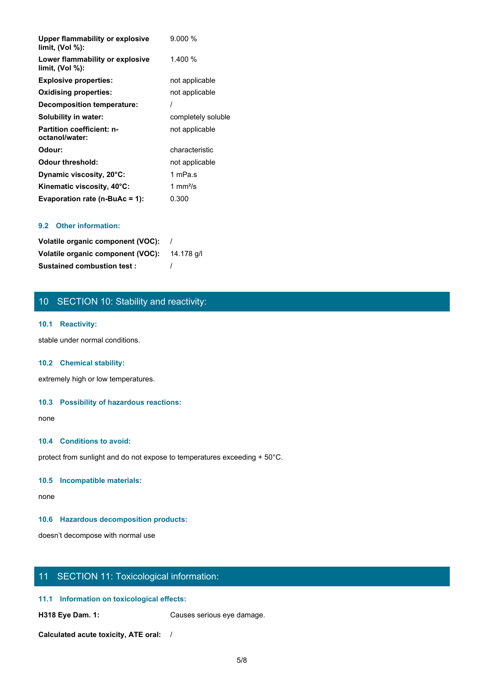| <b>Upper flammability or explosive</b><br>limit, $(Vol %)$ : | 9.000%             |
|--------------------------------------------------------------|--------------------|
| Lower flammability or explosive<br>limit, (Vol %):           | 1.400 %            |
| <b>Explosive properties:</b>                                 | not applicable     |
| <b>Oxidising properties:</b>                                 | not applicable     |
| <b>Decomposition temperature:</b>                            |                    |
| Solubility in water:                                         | completely soluble |
| <b>Partition coefficient: n-</b><br>octanol/water:           | not applicable     |
| Odour:                                                       | characteristic     |
| <b>Odour threshold:</b>                                      | not applicable     |
| Dynamic viscosity, 20°C:                                     | 1 mPa.s            |
| Kinematic viscosity, 40°C:                                   | 1 mm $\frac{2}{s}$ |
| Evaporation rate (n-BuAc = 1):                               | 0.300              |

#### **9.2 Other information:**

| Volatile organic component (VOC):            |  |
|----------------------------------------------|--|
| Volatile organic component (VOC): 14.178 g/l |  |
| <b>Sustained combustion test:</b>            |  |

# 10 SECTION 10: Stability and reactivity:

#### **10.1 Reactivity:**

stable under normal conditions.

#### **10.2 Chemical stability:**

extremely high or low temperatures.

#### **10.3 Possibility of hazardous reactions:**

none and the state of the state of the state of the state of the state of the state of the state of the state of the state of the state of the state of the state of the state of the state of the state of the state of the s

#### **10.4 Conditions to avoid:**

protect from sunlight and do not expose to temperatures exceeding + 50°C.

#### **10.5 Incompatible materials:**

none and the state of the state of the state of the state of the state of the state of the state of the state of the state of the state of the state of the state of the state of the state of the state of the state of the s

#### **10.6 Hazardous decomposition products:**

doesn't decompose with normal use

# 11 SECTION 11: Toxicological information:

### **11.1 Information on toxicological effects:**

**H318 Eye Dam. 1:** Causes serious eye damage.

**Calculated acute toxicity, ATE oral:** /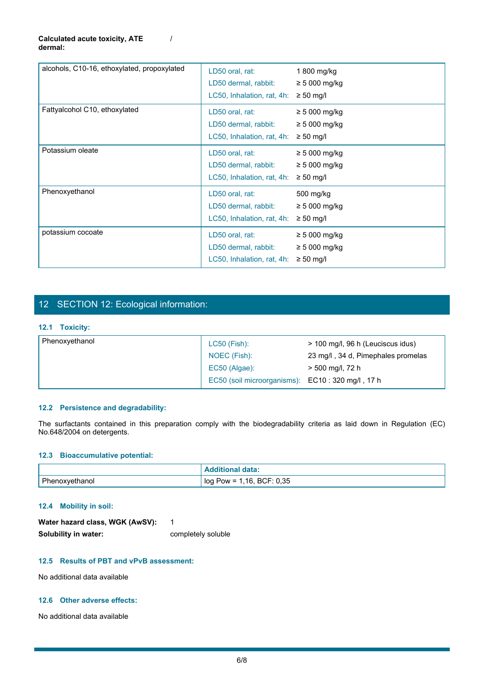#### **Calculated acute toxicity, ATE dermal:**

| alcohols, C10-16, ethoxylated, propoxylated                   | LD50 oral, rat:<br>LD50 dermal, rabbit:<br>LC50, Inhalation, rat, 4h: $\geq$ 50 mg/l | 1 800 mg/kg<br>$\geq 5000$ mg/kg                                                                                        |
|---------------------------------------------------------------|--------------------------------------------------------------------------------------|-------------------------------------------------------------------------------------------------------------------------|
| Fattyalcohol C10, ethoxylated                                 | LD50 oral, rat:<br>LD50 dermal, rabbit:<br>LC50, Inhalation, rat, 4h: $\geq$ 50 mg/l | $\geq 5000$ mg/kg<br>$\geq 5000$ mg/kg                                                                                  |
| Potassium oleate                                              | LD50 oral, rat:<br>LD50 dermal, rabbit:<br>LC50, Inhalation, rat, 4h: $\geq$ 50 mg/l | $\geq 5000$ mg/kg<br>$\geq 5000$ mg/kg                                                                                  |
| Phenoxyethanol                                                | LD50 oral, rat:<br>LD50 dermal, rabbit:<br>LC50, Inhalation, rat, 4h: $\geq$ 50 mg/l | 500 mg/kg<br>$\geq 5000$ mg/kg                                                                                          |
| potassium cocoate                                             | LD50 oral, rat:<br>LD50 dermal, rabbit:<br>LC50, Inhalation, rat, 4h: $\geq$ 50 mg/l | $\geq 5000$ mg/kg<br>$\geq 5000$ mg/kg                                                                                  |
| 12 SECTION 12: Ecological information:                        |                                                                                      |                                                                                                                         |
| 12.1 Toxicity:                                                |                                                                                      |                                                                                                                         |
| Phenoxyethanol                                                | LC50 (Fish):<br>NOEC (Fish):<br>EC50 (Algae):<br>EC50 (soil microorganisms):         | > 100 mg/l, 96 h (Leuciscus idus)<br>23 mg/l, 34 d, Pimephales promelas<br>> 500 mg/l, 72 h<br>EC10:320 mg/l, 17 h      |
| 12.2 Persistence and degradability:                           |                                                                                      | The surfactants contained in this preparation comply with the biodegradability criteria as laid down in Regulation (EC) |
| No.648/2004 on detergents.<br>12.3 Bioaccumulative potential: |                                                                                      |                                                                                                                         |
|                                                               | <b>Additional data:</b>                                                              |                                                                                                                         |
| Phenoxyethanol                                                | log Pow = 1,16, BCF: 0,35                                                            |                                                                                                                         |

/

# 12 SECTION 12: Ecological information:

### **12.1 Toxicity:**

| Phenoxyethanol | $LC50$ (Fish):              | > 100 mg/l, 96 h (Leuciscus idus)  |
|----------------|-----------------------------|------------------------------------|
|                | NOEC (Fish):                | 23 mg/l, 34 d, Pimephales promelas |
|                | EC50 (Algae):               | > 500 mg/l, 72 h                   |
|                | EC50 (soil microorganisms): | EC10:320 mg/l, 17 h                |

### **12.2 Persistence and degradability:**

#### **12.3 Bioaccumulative potential:**

|                            | <b>SAMPLE</b><br>rala.<br>.                                                           |
|----------------------------|---------------------------------------------------------------------------------------|
| Ph<br>nano<br>: P∏BnJ<br>. | 0,35<br><b>BCF</b><br>1.16.<br>loq<br>$Pow =$<br>. . <u>.</u><br>$-$<br>___<br>$\sim$ |

### **12.4 Mobility in soil:**

| Water hazard class, WGK (AwSV): |                    |
|---------------------------------|--------------------|
| Solubility in water:            | completely soluble |

### **12.5 Results of PBT and vPvB assessment:**

No additional data available

#### **12.6 Other adverse effects:**

No additional data available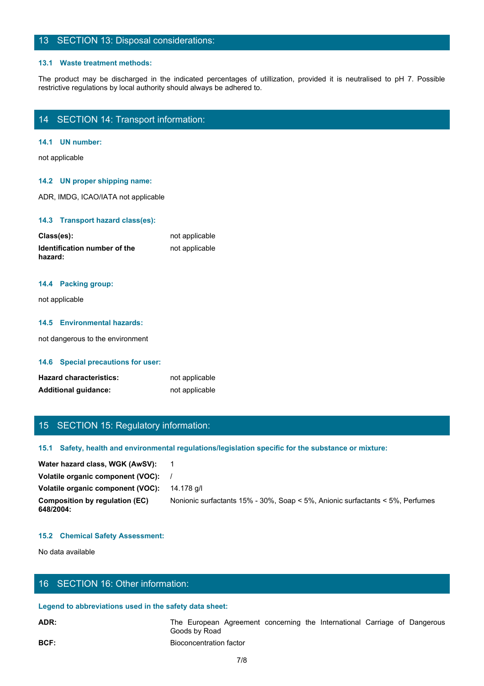# 13 SECTION 13: Disposal considerations:

#### **13.1 Waste treatment methods:**

The product may be discharged in the indicated percentages of utilization, provided it is neutralised to pH 7. Possible restrictive regulations by local authority should always be adhered to.<br>The product may be discharged restrictive regulations by local authority should always be adhered to.

# 14 SECTION 14: Transport information:

### **14.1 UN number:**

not applicable

#### **14.2 UN proper shipping name:**

ADR, IMDG, ICAO/IATA not applicable

#### **14.3 Transport hazard class(es):**

| Class(es):                              | not applicable |
|-----------------------------------------|----------------|
| Identification number of the<br>hazard: | not applicable |

# **14.4 Packing group:**

not applicable

#### **14.5 Environmental hazards:**

not dangerous to the environment

#### **14.6 Special precautions for user:**

| <b>Hazard characteristics:</b> | not applicable |
|--------------------------------|----------------|
| <b>Additional guidance:</b>    | not applicable |

# 15 SECTION 15: Regulatory information:

#### **15.1 Safety, health and environmental regulations/legislation specific for the substance or mixture:**

| <b>Hazard characteristics:</b>                         | not applicable                                                                                       |
|--------------------------------------------------------|------------------------------------------------------------------------------------------------------|
| <b>Additional guidance:</b>                            | not applicable                                                                                       |
|                                                        |                                                                                                      |
|                                                        |                                                                                                      |
| 15 SECTION 15: Regulatory information:                 |                                                                                                      |
|                                                        | 15.1 Safety, health and environmental regulations/legislation specific for the substance or mixture: |
| Water hazard class, WGK (AwSV):                        | - 1                                                                                                  |
| Volatile organic component (VOC):                      |                                                                                                      |
| Volatile organic component (VOC):                      | 14.178 g/l                                                                                           |
| <b>Composition by regulation (EC)</b><br>648/2004:     | Nonionic surfactants 15% - 30%, Soap < 5%, Anionic surfactants < 5%, Perfumes                        |
| <b>15.2 Chemical Safety Assessment:</b>                |                                                                                                      |
| No data available                                      |                                                                                                      |
|                                                        |                                                                                                      |
| 16 SECTION 16: Other information:                      |                                                                                                      |
| Legend to abbreviations used in the safety data sheet: |                                                                                                      |
| ADR:                                                   | The European Agreement concerning the International Carriage of Dangerous<br>Goods by Road           |
| BCF:                                                   | <b>Bioconcentration factor</b>                                                                       |
|                                                        | 7/8                                                                                                  |
|                                                        |                                                                                                      |
|                                                        |                                                                                                      |

#### **15.2 Chemical Safety Assessment:**

# 16 SECTION 16: Other information:

#### **Legend to abbreviations used in the safety data sheet:**